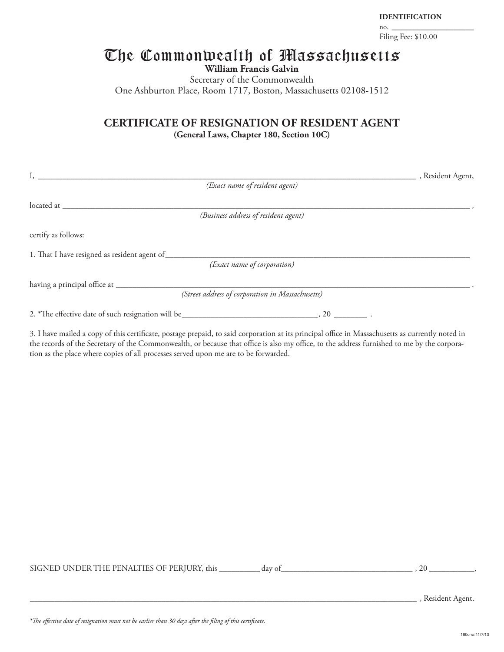#### **IDENTIFICATION**

no. \_\_\_\_\_\_\_\_\_\_\_\_\_\_\_\_\_\_\_\_ Filing Fee: \$10.00

# The Commonwealth of Massachusetts

**William Francis Galvin**

Secretary of the Commonwealth One Ashburton Place, Room 1717, Boston, Massachusetts 02108-1512

### **CERTIFICATE OF RESIGNATION OF RESIDENT AGENT (General Laws, Chapter 180, Section 10C)**

| I,                                                                                                                                                                                                                                | _, Resident Agent, |
|-----------------------------------------------------------------------------------------------------------------------------------------------------------------------------------------------------------------------------------|--------------------|
| (Exact name of resident agent)                                                                                                                                                                                                    |                    |
|                                                                                                                                                                                                                                   |                    |
| (Business address of resident agent)                                                                                                                                                                                              |                    |
| certify as follows:                                                                                                                                                                                                               |                    |
|                                                                                                                                                                                                                                   |                    |
| (Exact name of corporation)                                                                                                                                                                                                       |                    |
| (Street address of corporation in Massachusetts)                                                                                                                                                                                  |                    |
|                                                                                                                                                                                                                                   |                    |
| $\alpha$ in the class of the contract the contract of the contract of the contract of the contract of the contract of the contract of the contract of the contract of the contract of the contract of the contract of the contrac |                    |

3. I have mailed a copy of this certificate, postage prepaid, to said corporation at its principal office in Massachusetts as currently noted in the records of the Secretary of the Commonwealth, or because that office is also my office, to the address furnished to me by the corporation as the place where copies of all processes served upon me are to be forwarded.

| SIGNED UNDER THE PENALTIES OF PERIURY, this | dav of |  |
|---------------------------------------------|--------|--|
|---------------------------------------------|--------|--|

\_\_\_\_\_\_\_\_\_\_\_\_\_\_\_\_\_\_\_\_\_\_\_\_\_\_\_\_\_\_\_\_\_\_\_\_\_\_\_\_\_\_\_\_\_\_\_\_\_\_\_\_\_\_\_\_\_\_\_\_\_\_\_\_\_\_\_\_\_\_\_\_\_\_\_\_\_\_\_\_\_\_\_\_\_\_\_\_\_\_\_\_\_\_ , Resident Agent.